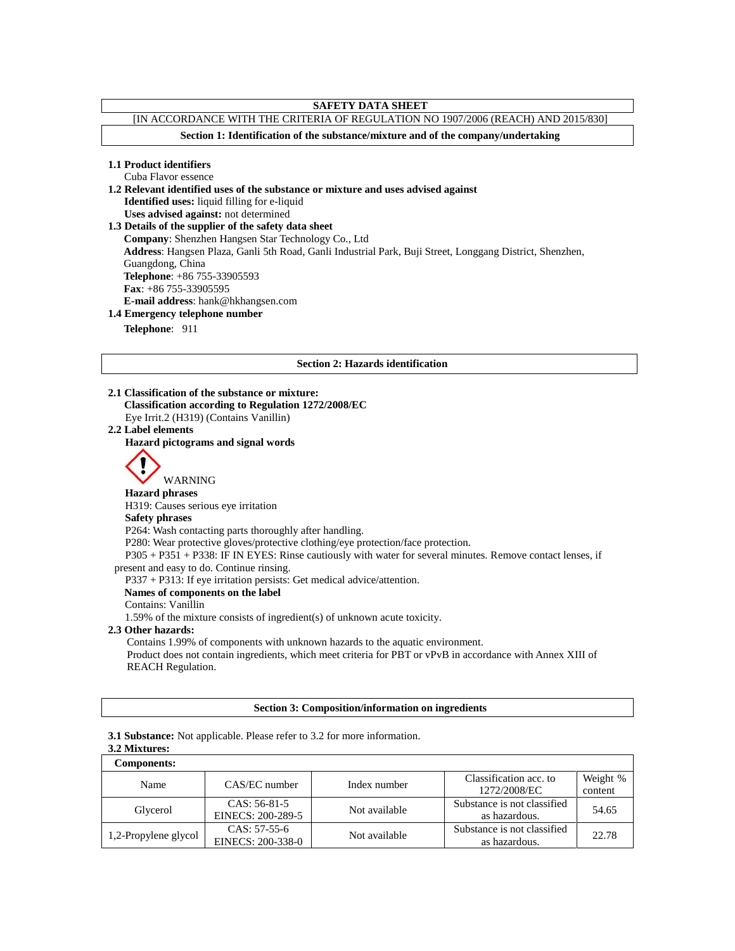# **SAFETY DATA SHEET**

# [IN ACCORDANCE WITH THE CRITERIA OF REGULATION NO 1907/2006 (REACH) AND 2015/830]

**Section 1: Identification of the substance/mixture and of the company/undertaking**

## **1.1 Product identifiers**

Cuba Flavor essence **1.2 Relevant identified uses of the substance or mixture and uses advised against Identified uses:** liquid filling for e-liquid **Uses advised against:** not determined **1.3 Details of the supplier of the safety data sheet Company**: Shenzhen Hangsen Star Technology Co., Ltd **Address**: Hangsen Plaza, Ganli 5th Road, Ganli Industrial Park, Buji Street, Longgang District, Shenzhen, Guangdong, China **Telephone**: +86 755-33905593 **Fax**: +86 755-33905595 **E-mail address**: hank@hkhangsen.com

# **1.4 Emergency telephone number**

**Telephone**: 911

#### **Section 2: Hazards identification**

**2.1 Classification of the substance or mixture: Classification according to Regulation 1272/2008/EC** Eye Irrit.2 (H319) (Contains Vanillin)

#### **2.2 Label elements**

**Hazard pictograms and signal words**



WARNING

# **Hazard phrases**

H319: Causes serious eye irritation

# **Safety phrases**

P264: Wash contacting parts thoroughly after handling.

P280: Wear protective gloves/protective clothing/eye protection/face protection.

P305 + P351 + P338: IF IN EYES: Rinse cautiously with water for several minutes. Remove contact lenses, if present and easy to do. Continue rinsing.

P337 + P313: If eye irritation persists: Get medical advice/attention.

## **Names of components on the label**

Contains: Vanillin

1.59% of the mixture consists of ingredient(s) of unknown acute toxicity.

## **2.3 Other hazards:**

Contains 1.99% of components with unknown hazards to the aquatic environment.

Product does not contain ingredients, which meet criteria for PBT or vPvB in accordance with Annex XIII of REACH Regulation.

## **Section 3: Composition/information on ingredients**

## **3.1 Substance:** Not applicable. Please refer to 3.2 for more information.

# **3.2 Mixtures:**

| <b>Components:</b>   |                   |               |                             |          |
|----------------------|-------------------|---------------|-----------------------------|----------|
| Name                 | CAS/EC number     | Index number  | Classification acc. to      | Weight % |
|                      |                   |               | 1272/2008/EC                | content  |
| Glycerol             | $CAS: 56-81-5$    | Not available | Substance is not classified | 54.65    |
|                      | EINECS: 200-289-5 |               | as hazardous.               |          |
| 1,2-Propylene glycol | $CAS: 57-55-6$    | Not available | Substance is not classified | 22.78    |
|                      | EINECS: 200-338-0 |               | as hazardous.               |          |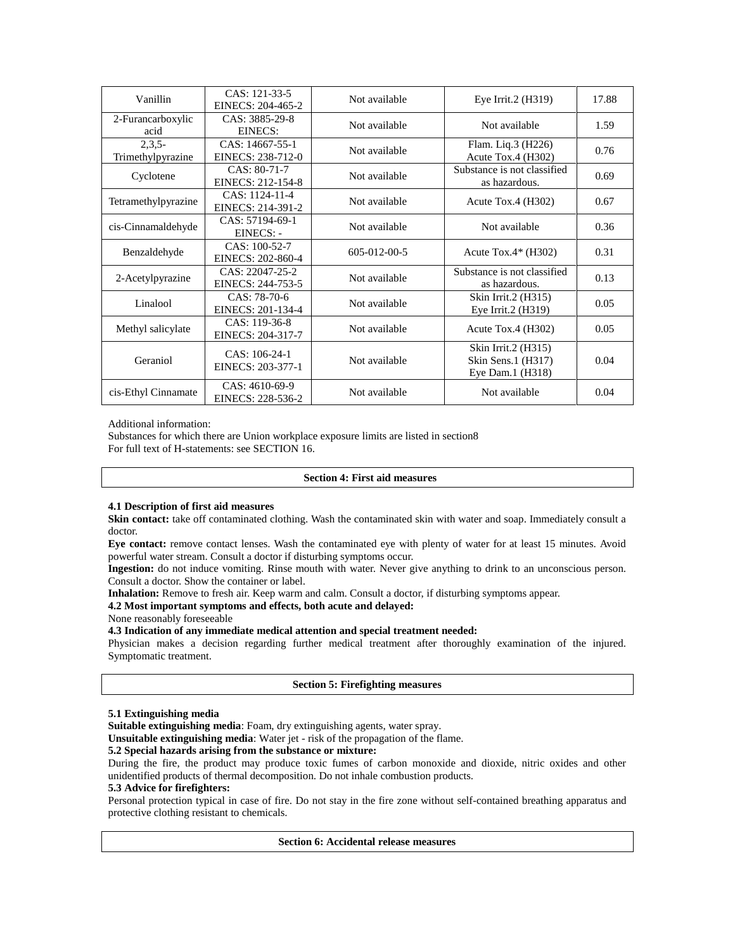| Vanillin                      | CAS: 121-33-5<br>EINECS: 204-465-2   | Not available | Eye Irrit. $2$ (H $319$ )                                     | 17.88 |
|-------------------------------|--------------------------------------|---------------|---------------------------------------------------------------|-------|
| 2-Furancarboxylic<br>acid     | CAS: 3885-29-8<br>EINECS:            | Not available | Not available                                                 | 1.59  |
| $2,3,5-$<br>Trimethylpyrazine | CAS: 14667-55-1<br>EINECS: 238-712-0 | Not available | Flam. Liq.3 (H226)<br>Acute Tox.4 $(H302)$                    | 0.76  |
| Cyclotene                     | CAS: 80-71-7<br>EINECS: 212-154-8    | Not available | Substance is not classified<br>as hazardous.                  | 0.69  |
| Tetramethylpyrazine           | CAS: 1124-11-4<br>EINECS: 214-391-2  | Not available | Acute Tox.4 $(H302)$                                          | 0.67  |
| cis-Cinnamaldehyde            | CAS: 57194-69-1<br>EINECS: -         | Not available | Not available                                                 | 0.36  |
| Benzaldehyde                  | CAS: 100-52-7<br>EINECS: 202-860-4   | 605-012-00-5  | Acute Tox. $4*$ (H302)                                        | 0.31  |
| 2-Acetylpyrazine              | CAS: 22047-25-2<br>EINECS: 244-753-5 | Not available | Substance is not classified<br>as hazardous.                  | 0.13  |
| Linalool                      | $CAS: 78-70-6$<br>EINECS: 201-134-4  | Not available | Skin Irrit.2 (H315)<br>Eye Irrit.2 (H319)                     | 0.05  |
| Methyl salicylate             | CAS: 119-36-8<br>EINECS: 204-317-7   | Not available | Acute Tox.4 $(H302)$                                          | 0.05  |
| Geraniol                      | CAS: 106-24-1<br>EINECS: 203-377-1   | Not available | Skin Irrit.2 (H315)<br>Skin Sens.1 (H317)<br>Eye Dam.1 (H318) | 0.04  |
| cis-Ethyl Cinnamate           | CAS: 4610-69-9<br>EINECS: 228-536-2  | Not available | Not available                                                 | 0.04  |

Additional information:

Substances for which there are Union workplace exposure limits are listed in section8 For full text of H-statements: see SECTION 16.

## **Section 4: First aid measures**

## **4.1 Description of first aid measures**

Skin contact: take off contaminated clothing. Wash the contaminated skin with water and soap. Immediately consult a doctor.

**Eye contact:** remove contact lenses. Wash the contaminated eye with plenty of water for at least 15 minutes. Avoid powerful water stream. Consult a doctor if disturbing symptoms occur.

**Ingestion:** do not induce vomiting. Rinse mouth with water. Never give anything to drink to an unconscious person. Consult a doctor. Show the container or label.

**Inhalation:** Remove to fresh air. Keep warm and calm. Consult a doctor, if disturbing symptoms appear.

## **4.2 Most important symptoms and effects, both acute and delayed:**

None reasonably foreseeable

#### **4.3 Indication of any immediate medical attention and special treatment needed:**

Physician makes a decision regarding further medical treatment after thoroughly examination of the injured. Symptomatic treatment.

## **Section 5: Firefighting measures**

## **5.1 Extinguishing media**

**Suitable extinguishing media**: Foam, dry extinguishing agents, water spray.

**Unsuitable extinguishing media**: Water jet - risk of the propagation of the flame.

## **5.2 Special hazards arising from the substance or mixture:**

During the fire, the product may produce toxic fumes of carbon monoxide and dioxide, nitric oxides and other unidentified products of thermal decomposition. Do not inhale combustion products.

#### **5.3 Advice for firefighters:**

Personal protection typical in case of fire. Do not stay in the fire zone without self-contained breathing apparatus and protective clothing resistant to chemicals.

# **Section 6: Accidental release measures**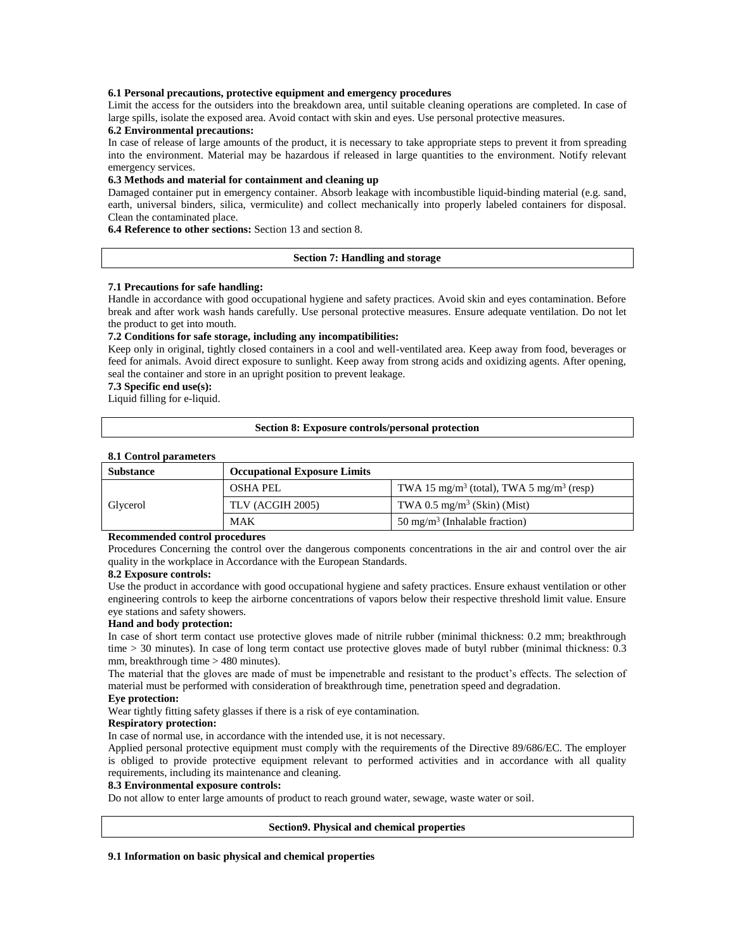## **6.1 Personal precautions, protective equipment and emergency procedures**

Limit the access for the outsiders into the breakdown area, until suitable cleaning operations are completed. In case of large spills, isolate the exposed area. Avoid contact with skin and eyes. Use personal protective measures.

## **6.2 Environmental precautions:**

In case of release of large amounts of the product, it is necessary to take appropriate steps to prevent it from spreading into the environment. Material may be hazardous if released in large quantities to the environment. Notify relevant emergency services.

#### **6.3 Methods and material for containment and cleaning up**

Damaged container put in emergency container. Absorb leakage with incombustible liquid-binding material (e.g. sand, earth, universal binders, silica, vermiculite) and collect mechanically into properly labeled containers for disposal. Clean the contaminated place.

**6.4 Reference to other sections:** Section 13 and section 8.

## **Section 7: Handling and storage**

#### **7.1 Precautions for safe handling:**

Handle in accordance with good occupational hygiene and safety practices. Avoid skin and eyes contamination. Before break and after work wash hands carefully. Use personal protective measures. Ensure adequate ventilation. Do not let the product to get into mouth.

## **7.2 Conditions for safe storage, including any incompatibilities:**

Keep only in original, tightly closed containers in a cool and well-ventilated area. Keep away from food, beverages or feed for animals. Avoid direct exposure to sunlight. Keep away from strong acids and oxidizing agents. After opening, seal the container and store in an upright position to prevent leakage.

#### **7.3 Specific end use(s):**

Liquid filling for e-liquid.

#### **Section 8: Exposure controls/personal protection**

## **8.1 Control parameters**

| <b>Substance</b> | <b>Occupational Exposure Limits</b> |                                                                  |  |
|------------------|-------------------------------------|------------------------------------------------------------------|--|
|                  | OSHA PEL                            | TWA 15 mg/m <sup>3</sup> (total), TWA 5 mg/m <sup>3</sup> (resp) |  |
| Glycerol         | TLV (ACGIH 2005)                    | TWA 0.5 mg/m <sup>3</sup> (Skin) (Mist)                          |  |
|                  | MAK                                 | 50 mg/m <sup>3</sup> (Inhalable fraction)                        |  |

#### **Recommended control procedures**

Procedures Concerning the control over the dangerous components concentrations in the air and control over the air quality in the workplace in Accordance with the European Standards.

#### **8.2 Exposure controls:**

Use the product in accordance with good occupational hygiene and safety practices. Ensure exhaust ventilation or other engineering controls to keep the airborne concentrations of vapors below their respective threshold limit value. Ensure eye stations and safety showers.

#### **Hand and body protection:**

In case of short term contact use protective gloves made of nitrile rubber (minimal thickness: 0.2 mm; breakthrough time > 30 minutes). In case of long term contact use protective gloves made of butyl rubber (minimal thickness: 0.3 mm, breakthrough time > 480 minutes).

The material that the gloves are made of must be impenetrable and resistant to the product's effects. The selection of material must be performed with consideration of breakthrough time, penetration speed and degradation.

## **Eye protection:**

Wear tightly fitting safety glasses if there is a risk of eye contamination.

## **Respiratory protection:**

In case of normal use, in accordance with the intended use, it is not necessary.

Applied personal protective equipment must comply with the requirements of the Directive 89/686/EC. The employer is obliged to provide protective equipment relevant to performed activities and in accordance with all quality requirements, including its maintenance and cleaning.

#### **8.3 Environmental exposure controls:**

Do not allow to enter large amounts of product to reach ground water, sewage, waste water or soil.

## **Section9. Physical and chemical properties**

## **9.1 Information on basic physical and chemical properties**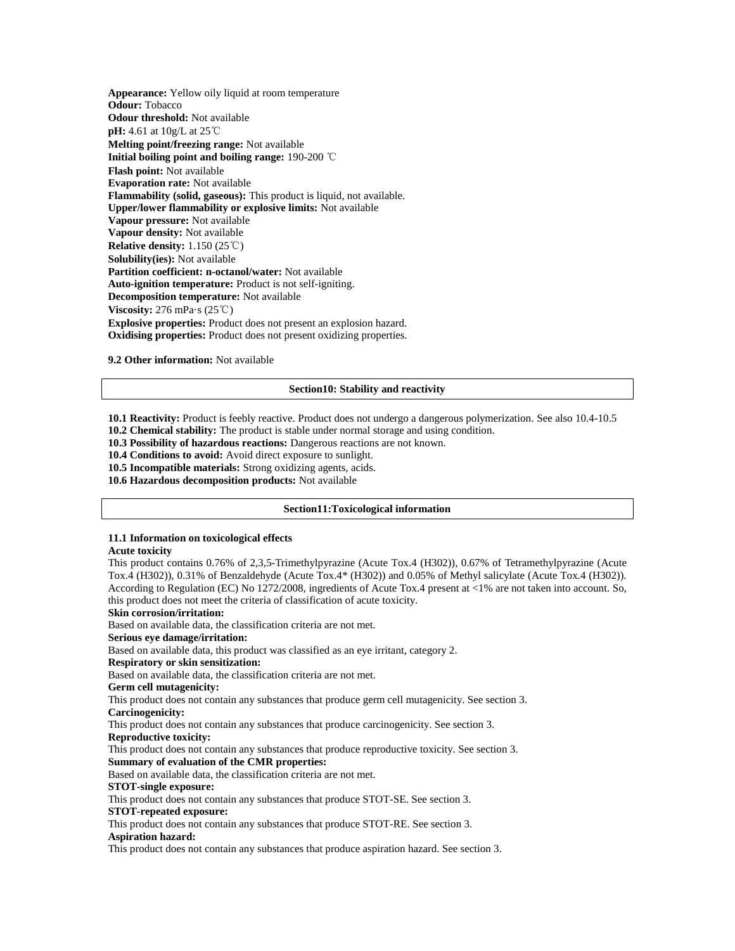**Appearance:** Yellow oily liquid at room temperature **Odour:** Tobacco **Odour threshold:** Not available **pH:** 4.61 at 10g/L at 25℃ **Melting point/freezing range:** Not available **Initial boiling point and boiling range:** 190-200 ℃ **Flash point:** Not available **Evaporation rate:** Not available **Flammability (solid, gaseous):** This product is liquid, not available. **Upper/lower flammability or explosive limits:** Not available **Vapour pressure:** Not available **Vapour density:** Not available **Relative density:** 1.150 (25℃) **Solubility(ies):** Not available **Partition coefficient: n-octanol/water:** Not available **Auto-ignition temperature:** Product is not self-igniting. **Decomposition temperature:** Not available **Viscosity:** 276 mPa·s (25℃) **Explosive properties:** Product does not present an explosion hazard. **Oxidising properties:** Product does not present oxidizing properties.

**9.2 Other information:** Not available

#### **Section10: Stability and reactivity**

**10.1 Reactivity:** Product is feebly reactive. Product does not undergo a dangerous polymerization. See also 10.4-10.5 **10.2 Chemical stability:** The product is stable under normal storage and using condition.

**10.3 Possibility of hazardous reactions:** Dangerous reactions are not known.

**10.4 Conditions to avoid:** Avoid direct exposure to sunlight.

**10.5 Incompatible materials:** Strong oxidizing agents, acids.

**10.6 Hazardous decomposition products:** Not available

#### **Section11:Toxicological information**

#### **11.1 Information on toxicological effects**

#### **Acute toxicity**

This product contains 0.76% of 2,3,5-Trimethylpyrazine (Acute Tox.4 (H302)), 0.67% of Tetramethylpyrazine (Acute Tox.4 (H302)), 0.31% of Benzaldehyde (Acute Tox.4\* (H302)) and 0.05% of Methyl salicylate (Acute Tox.4 (H302)). According to Regulation (EC) No 1272/2008, ingredients of Acute Tox.4 present at <1% are not taken into account. So, this product does not meet the criteria of classification of acute toxicity.

#### **Skin corrosion/irritation:**

Based on available data, the classification criteria are not met.

## **Serious eye damage/irritation:**

Based on available data, this product was classified as an eye irritant, category 2.

## **Respiratory or skin sensitization:**

Based on available data, the classification criteria are not met.

**Germ cell mutagenicity:**

This product does not contain any substances that produce germ cell mutagenicity. See section 3.

**Carcinogenicity:**

This product does not contain any substances that produce carcinogenicity. See section 3.

**Reproductive toxicity:**

This product does not contain any substances that produce reproductive toxicity. See section 3.

## **Summary of evaluation of the CMR properties:**

Based on available data, the classification criteria are not met.

## **STOT-single exposure:**

This product does not contain any substances that produce STOT-SE. See section 3.

# **STOT-repeated exposure:**

This product does not contain any substances that produce STOT-RE. See section 3.

## **Aspiration hazard:**

This product does not contain any substances that produce aspiration hazard. See section 3.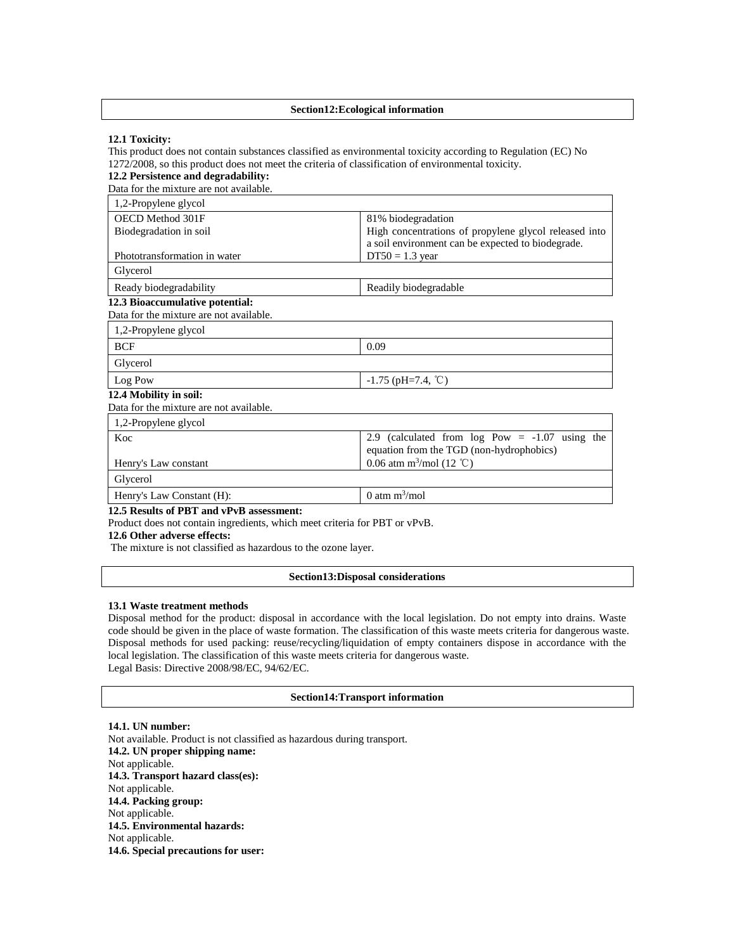#### **Section12:Ecological information**

#### **12.1 Toxicity:**

This product does not contain substances classified as environmental toxicity according to Regulation (EC) No 1272/2008, so this product does not meet the criteria of classification of environmental toxicity.

#### **12.2 Persistence and degradability:** Data for the mixture are not available. 1,2-Propylene glycol OECD Method 301F Biodegradation in soil Phototransformation in water 81% biodegradation High concentrations of propylene glycol released into a soil environment can be expected to biodegrade.  $DT50 = 1.3$  year Glycerol Ready biodegradability Readily biodegradable **12.3 Bioaccumulative potential:**  Data for the mixture are not available. 1,2-Propylene glycol BCF 0.09 Glycerol Log Pow  $-1.75$  (pH=7.4, °C) **12.4 Mobility in soil:**  Data for the mixture are not available. 1,2-Propylene glycol Koc Henry's Law constant 2.9 (calculated from log Pow = -1.07 using the equation from the TGD (non-hydrophobics) 0.06 atm  $m^3$ /mol (12 °C) Glycerol Henry's Law Constant (H): 0 atm  $m^3$ /mol

#### **12.5 Results of PBT and vPvB assessment:**

Product does not contain ingredients, which meet criteria for PBT or vPvB.

**12.6 Other adverse effects:**

The mixture is not classified as hazardous to the ozone layer.

#### **Section13:Disposal considerations**

#### **13.1 Waste treatment methods**

Disposal method for the product: disposal in accordance with the local legislation. Do not empty into drains. Waste code should be given in the place of waste formation. The classification of this waste meets criteria for dangerous waste. Disposal methods for used packing: reuse/recycling/liquidation of empty containers dispose in accordance with the local legislation. The classification of this waste meets criteria for dangerous waste. Legal Basis: Directive 2008/98/EC, 94/62/EC.

#### **Section14:Transport information**

**14.1. UN number:** Not available. Product is not classified as hazardous during transport. **14.2. UN proper shipping name:**  Not applicable. **14.3. Transport hazard class(es):**  Not applicable. **14.4. Packing group:**  Not applicable. **14.5. Environmental hazards:**  Not applicable. **14.6. Special precautions for user:**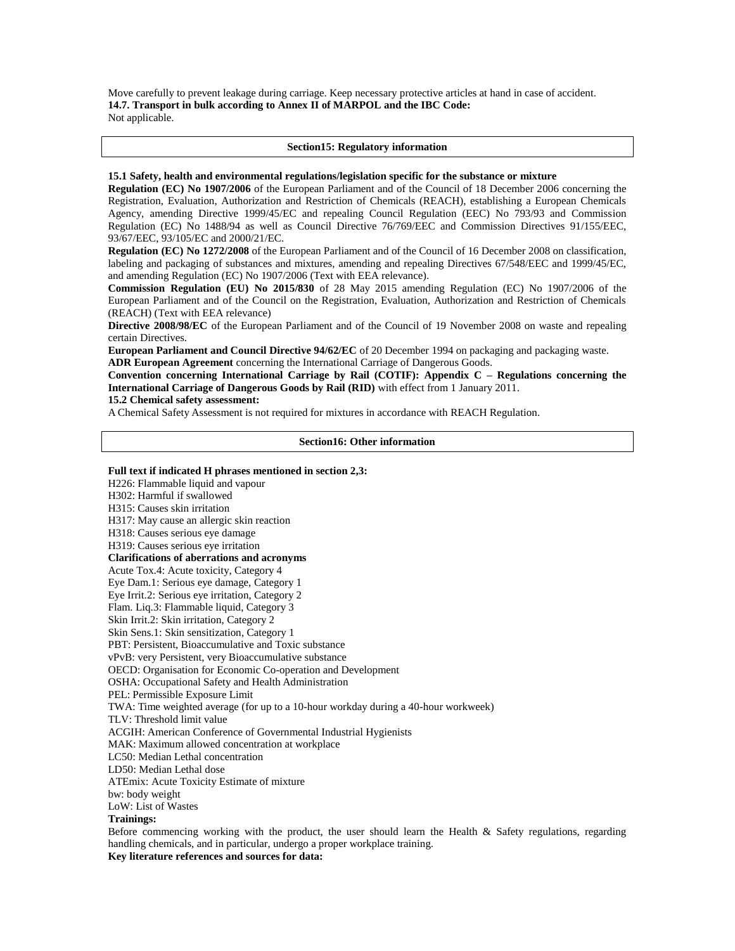Move carefully to prevent leakage during carriage. Keep necessary protective articles at hand in case of accident. **14.7. Transport in bulk according to Annex II of MARPOL and the IBC Code:**  Not applicable.

#### **Section15: Regulatory information**

## **15.1 Safety, health and environmental regulations/legislation specific for the substance or mixture**

**Regulation (EC) No 1907/2006** of the European Parliament and of the Council of 18 December 2006 concerning the Registration, Evaluation, Authorization and Restriction of Chemicals (REACH), establishing a European Chemicals Agency, amending Directive 1999/45/EC and repealing Council Regulation (EEC) No 793/93 and Commission Regulation (EC) No 1488/94 as well as Council Directive 76/769/EEC and Commission Directives 91/155/EEC, 93/67/EEC, 93/105/EC and 2000/21/EC.

**Regulation (EC) No 1272/2008** of the European Parliament and of the Council of 16 December 2008 on classification, labeling and packaging of substances and mixtures, amending and repealing Directives 67/548/EEC and 1999/45/EC, and amending Regulation (EC) No 1907/2006 (Text with EEA relevance).

**Commission Regulation (EU) No 2015/830** of 28 May 2015 amending Regulation (EC) No 1907/2006 of the European Parliament and of the Council on the Registration, Evaluation, Authorization and Restriction of Chemicals (REACH) (Text with EEA relevance)

**Directive 2008/98/EC** of the European Parliament and of the Council of 19 November 2008 on waste and repealing certain Directives.

**European Parliament and Council Directive 94/62/EC** of 20 December 1994 on packaging and packaging waste. **ADR European Agreement** concerning the International Carriage of Dangerous Goods.

**Convention concerning International Carriage by Rail (COTIF): Appendix C – Regulations concerning the International Carriage of Dangerous Goods by Rail (RID)** with effect from 1 January 2011.

## **15.2 Chemical safety assessment:**

A Chemical Safety Assessment is not required for mixtures in accordance with REACH Regulation.

## **Section16: Other information**

# **Full text if indicated H phrases mentioned in section 2,3:** H226: Flammable liquid and vapour H302: Harmful if swallowed H315: Causes skin irritation H317: May cause an allergic skin reaction H318: Causes serious eye damage H319: Causes serious eye irritation **Clarifications of aberrations and acronyms** Acute Tox.4: Acute toxicity, Category 4 Eye Dam.1: Serious eye damage, Category 1 Eye Irrit.2: Serious eye irritation, Category 2 Flam. Liq.3: Flammable liquid, Category 3 Skin Irrit.2: Skin irritation, Category 2 Skin Sens.1: Skin sensitization, Category 1 PBT: Persistent, Bioaccumulative and Toxic substance vPvB: very Persistent, very Bioaccumulative substance OECD: Organisation for Economic Co-operation and Development OSHA: Occupational Safety and Health Administration PEL: Permissible Exposure Limit TWA: Time weighted average (for up to a 10-hour workday during a 40-hour workweek) TLV: Threshold limit value ACGIH: American Conference of Governmental Industrial Hygienists MAK: Maximum allowed concentration at workplace LC50: Median Lethal concentration LD50: Median Lethal dose ATEmix: Acute Toxicity Estimate of mixture bw: body weight LoW: List of Wastes **Trainings:** Before commencing working with the product, the user should learn the Health & Safety regulations, regarding handling chemicals, and in particular, undergo a proper workplace training. **Key literature references and sources for data:**